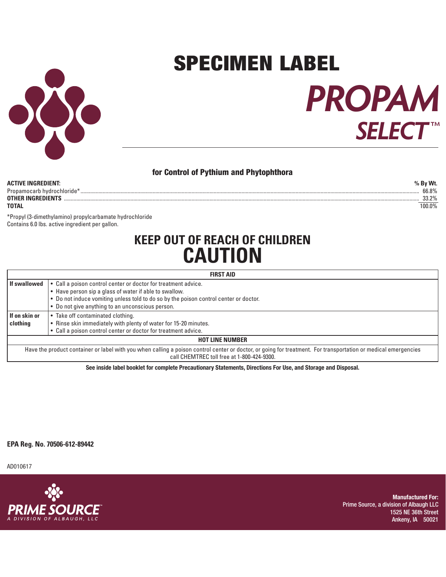

# **PROPAM SELECT** ™ SPECIMEN LABEL

#### **for Control of Pythium and Phytophthora**

| ACTIVE INGREDIENT:         | Bv Wt.          |
|----------------------------|-----------------|
| Propamocarb hydrochloride* | 66.8%           |
| OTHER INGREDIENTS          | 33.20%<br>י ∠.ט |
| TOTAL                      | 100.0%          |

\*Propyl (3-dimethylamino) propylcarbamate hydrochloride Contains 6.0 lbs. active ingredient per gallon.

## **KEEP OUT OF REACH OF CHILDREN CAUTION**

| <b>FIRST AID</b>                                                                                                                                               |                                                                                       |  |  |  |
|----------------------------------------------------------------------------------------------------------------------------------------------------------------|---------------------------------------------------------------------------------------|--|--|--|
| If swallowed                                                                                                                                                   | • Call a poison control center or doctor for treatment advice.                        |  |  |  |
|                                                                                                                                                                | • Have person sip a glass of water if able to swallow.                                |  |  |  |
|                                                                                                                                                                | . Do not induce vomiting unless told to do so by the poison control center or doctor. |  |  |  |
|                                                                                                                                                                | • Do not give anything to an unconscious person.                                      |  |  |  |
| • Take off contaminated clothing.<br>If on skin or                                                                                                             |                                                                                       |  |  |  |
| clothing                                                                                                                                                       | • Rinse skin immediately with plenty of water for 15-20 minutes.                      |  |  |  |
|                                                                                                                                                                | • Call a poison control center or doctor for treatment advice.                        |  |  |  |
| <b>HOT LINE NUMBER</b>                                                                                                                                         |                                                                                       |  |  |  |
| Have the product container or label with you when calling a poison control center or doctor, or going for treatment. For transportation or medical emergencies |                                                                                       |  |  |  |

call CHEMTREC toll free at 1-800-424-9300.

**See inside label booklet for complete Precautionary Statements, Directions For Use, and Storage and Disposal.**

**EPA Reg. No. 70506-612-89442**

AD010617



**Manufactured For:** Prime Source, a division of Albaugh LLC 1525 NE 36th Street Ankeny, IA 50021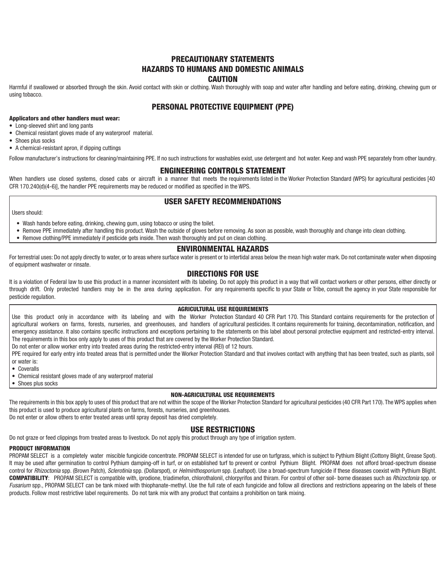#### **PRECAUTIONARY STATEMENTS HAZARDS TO HUMANS AND DOMESTIC ANIMALS CAUTION**

Harmful if swallowed or absorbed through the skin. Avoid contact with skin or clothing. Wash thoroughly with soap and water after handling and before eating, drinking, chewing gum or using tobacco.

#### **PERSONAL PROTECTIVE EQUIPMENT (PPE)**

#### **Applicators and other handlers must wear:**

- Long-sleeved shirt and long pants
- Chemical resistant gloves made of any waterproof material.
- Shoes plus socks
- A chemical-resistant apron, if dipping cuttings

Follow manufacturer's instructions for cleaning/maintaining PPE. If no such instructions for washables exist, use detergent and hot water. Keep and wash PPE separately from other laundry.

#### **ENGINEERING CONTROLS STATEMENT**

When handlers use closed systems, closed cabs or aircraft in a manner that meets the requirements listed in the Worker Protection Standard (WPS) for agricultural pesticides [40 CFR 170.240(d)(4-6)], the handler PPE requirements may be reduced or modified as specified in the WPS.

#### **USER SAFETY RECOMMENDATIONS**

#### Users should:

- Wash hands before eating, drinking, chewing gum, using tobacco or using the toilet.
- Remove PPE immediately after handling this product. Wash the outside of gloves before removing. As soon as possible, wash thoroughly and change into clean clothing.
- Remove clothing/PPE immediately if pesticide gets inside. Then wash thoroughly and put on clean clothing.

#### **ENVIRONMENTAL HAZARDS**

For terrestrial uses: Do not apply directly to water, or to areas where surface water is present or to intertidal areas below the mean high water mark. Do not contaminate water when disposing of equipment washwater or rinsate.

#### **DIRECTIONS FOR USE**

It is a violation of Federal law to use this product in a manner inconsistent with its labeling. Do not apply this product in a way that will contact workers or other persons, either directly or through drift. Only protected handlers may be in the area during application. For any requirements specific to your State or Tribe, consult the agency in your State responsible for pesticide regulation.

#### **AGRICULTURAL USE REQUIREMENTS**

Use this product only in accordance with its labeling and with the Worker Protection Standard 40 CFR Part 170. This Standard contains requirements for the protection of agricultural workers on farms, forests, nurseries, and greenhouses, and handlers of agricultural pesticides. It contains requirements for training, decontamination, notification, and emergency assistance. It also contains specific instructions and exceptions pertaining to the statements on this label about personal protective equipment and restricted-entry interval. The requirements in this box only apply to uses of this product that are covered by the Worker Protection Standard.

Do not enter or allow worker entry into treated areas during the restricted-entry interval (REI) of 12 hours.

PPE required for early entry into treated areas that is permitted under the Worker Protection Standard and that involves contact with anything that has been treated, such as plants, soil or water is:

- Coveralls
- Chemical resistant gloves made of any waterproof material
- Shoes plus socks

#### **NON-AGRICULTURAL USE REQUIREMENTS**

The requirements in this box apply to uses of this product that are not within the scope of the Worker Protection Standard for agricultural pesticides (40 CFR Part 170). The WPS applies when this product is used to produce agricultural plants on farms, forests, nurseries, and greenhouses.

Do not enter or allow others to enter treated areas until spray deposit has dried completely.

#### **USE RESTRICTIONS**

Do not graze or feed clippings from treated areas to livestock. Do not apply this product through any type of irrigation system.

#### **PRODUCT INFORMATION**

PROPAM SELECT is a completely water miscible fungicide concentrate. PROPAM SELECT is intended for use on turfgrass, which is subject to Pythium Blight (Cottony Blight, Grease Spot). It may be used after germination to control Pythium damping-off in turf, or on established turf to prevent or control Pythium Blight. PROPAM does not afford broad-spectrum disease control for Rhizoctonia spp. (Brown Patch), Sclerotinia spp. (Dollarspot), or Helminthosporium spp. (Leafspot). Use a broad-spectrum fungicide if these diseases coexist with Pythium Blight. **COMPATIBILITY**: PROPAM SELECT is compatible with, iprodione, triadimefon, chlorothalonil, chlorpyrifos and thiram. For control of other soil- borne diseases such as Rhizoctonia spp. or Fusarium spp., PROPAM SELECT can be tank mixed with thiophanate-methyl. Use the full rate of each fungicide and follow all directions and restrictions appearing on the labels of these products. Follow most restrictive label requirements. Do not tank mix with any product that contains a prohibition on tank mixing.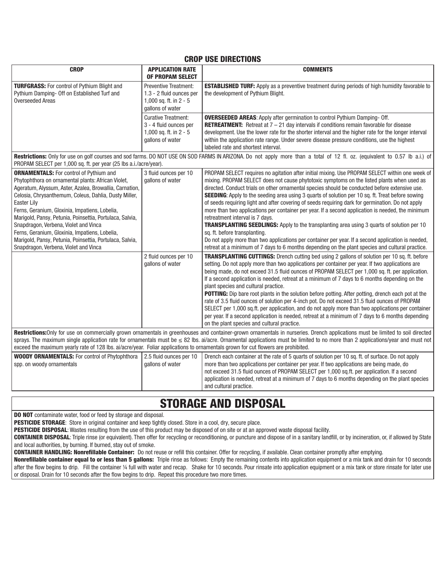#### **CROP USE DIRECTIONS**

| <b>CROP</b>                                                                                                                                                                                                                                                                                                                                                                                                                                                                                                                                           | <b>APPLICATION RATE</b><br><b>OF PROPAM SELECT</b>                                                     | <b>COMMENTS</b>                                                                                                                                                                                                                                                                                                                                                                                                                                                                                                                                                                                                                                                                                                                                                                                                                                                                                                                                                                                                                                                                          |  |  |  |
|-------------------------------------------------------------------------------------------------------------------------------------------------------------------------------------------------------------------------------------------------------------------------------------------------------------------------------------------------------------------------------------------------------------------------------------------------------------------------------------------------------------------------------------------------------|--------------------------------------------------------------------------------------------------------|------------------------------------------------------------------------------------------------------------------------------------------------------------------------------------------------------------------------------------------------------------------------------------------------------------------------------------------------------------------------------------------------------------------------------------------------------------------------------------------------------------------------------------------------------------------------------------------------------------------------------------------------------------------------------------------------------------------------------------------------------------------------------------------------------------------------------------------------------------------------------------------------------------------------------------------------------------------------------------------------------------------------------------------------------------------------------------------|--|--|--|
| <b>TURFGRASS:</b> For control of Pythium Blight and<br>Pythium Damping- Off on Established Turf and<br><b>Overseeded Areas</b>                                                                                                                                                                                                                                                                                                                                                                                                                        | <b>Preventive Treatment:</b><br>1.3 - 2 fluid ounces per<br>1,000 sq. ft. in 2 - 5<br>gallons of water | <b>ESTABLISHED TURF:</b> Apply as a preventive treatment during periods of high humidity favorable to<br>the development of Pythium Blight.                                                                                                                                                                                                                                                                                                                                                                                                                                                                                                                                                                                                                                                                                                                                                                                                                                                                                                                                              |  |  |  |
|                                                                                                                                                                                                                                                                                                                                                                                                                                                                                                                                                       | <b>Curative Treatment:</b><br>3 - 4 fluid ounces per<br>1,000 sq. ft. in $2 - 5$<br>gallons of water   | <b>OVERSEEDED AREAS:</b> Apply after germination to control Pythium Damping- Off.<br><b>RETREATMENT:</b> Retreat at $7 - 21$ day intervals if conditions remain favorable for disease<br>development. Use the lower rate for the shorter interval and the higher rate for the longer interval<br>within the application rate range. Under severe disease pressure conditions, use the highest<br>labeled rate and shortest interval.                                                                                                                                                                                                                                                                                                                                                                                                                                                                                                                                                                                                                                                     |  |  |  |
| Restrictions: Only for use on golf courses and sod farms. DO NOT USE ON SOD FARMS IN ARIZONA. Do not apply more than a total of 12 fl. oz. (equivalent to 0.57 lb a.i.) of<br>PROPAM SELECT per 1,000 sq. ft. per year (25 lbs a.i./acre/year).                                                                                                                                                                                                                                                                                                       |                                                                                                        |                                                                                                                                                                                                                                                                                                                                                                                                                                                                                                                                                                                                                                                                                                                                                                                                                                                                                                                                                                                                                                                                                          |  |  |  |
| <b>ORNAMENTALS:</b> For control of Pythium and<br>Phytophthora on ornamental plants: African Violet,<br>Ageratum, Alyssum, Aster, Azalea, Browallia, Carnation,<br>Celosia, Chrysanthemum, Coleus, Dahlia, Dusty Miller,<br>Easter Lily<br>Ferns, Geranium, Gloxinia, Impatiens, Lobelia,<br>Marigold, Pansy, Petunia, Poinsettia, Portulaca, Salvia,<br>Snapdragon, Verbena, Violet and Vinca<br>Ferns, Geranium, Gloxinia, Impatiens, Lobelia,<br>Marigold, Pansy, Petunia, Poinsettia, Portulaca, Salvia,<br>Snapdragon, Verbena, Violet and Vinca | 3 fluid ounces per 10<br>gallons of water<br>2 fluid ounces per 10                                     | PROPAM SELECT requires no agitation after initial mixing. Use PROPAM SELECT within one week of<br>mixing. PROPAM SELECT does not cause phytotoxic symptoms on the listed plants when used as<br>directed. Conduct trials on other ornamental species should be conducted before extensive use.<br>SEEDING: Apply to the seeding area using 3 quarts of solution per 10 sq. ft. Treat before sowing<br>of seeds requiring light and after covering of seeds requiring dark for germination. Do not apply<br>more than two applications per container per year. If a second application is needed, the minimum<br>retreatment interval is 7 days.<br>TRANSPLANTING SEEDLINGS: Apply to the transplanting area using 3 quarts of solution per 10<br>sq. ft. before transplanting.<br>Do not apply more than two applications per container per year. If a second application is needed,<br>retreat at a minimum of 7 days to 6 months depending on the plant species and cultural practice.<br>TRANSPLANTING CUTTINGS: Drench cutting bed using 2 gallons of solution per 10 sq. ft. before |  |  |  |
|                                                                                                                                                                                                                                                                                                                                                                                                                                                                                                                                                       | gallons of water                                                                                       | setting. Do not apply more than two applications per container per year. If two applications are<br>being made, do not exceed 31.5 fluid ounces of PROPAM SELECT per 1,000 sq. ft. per application.<br>If a second application is needed, retreat at a minimum of 7 days to 6 months depending on the<br>plant species and cultural practice.<br>POTTING: Dip bare root plants in the solution before potting. After potting, drench each pot at the<br>rate of 3.5 fluid ounces of solution per 4-inch pot. Do not exceed 31.5 fluid ounces of PROPAM<br>SELECT per 1,000 sq.ft. per application, and do not apply more than two applications per container<br>per year. If a second application is needed, retreat at a minimum of 7 days to 6 months depending<br>on the plant species and cultural practice.                                                                                                                                                                                                                                                                         |  |  |  |
| Restrictions:Only for use on commercially grown ornamentals in greenhouses and container-grown ornamentals in nurseries. Drench applications must be limited to soil directed<br>sprays. The maximum single application rate for ornamentals must be $\leq$ 82 lbs. ai/acre. Ornamental applications must be limited to no more than 2 applications/year and must not                                                                                                                                                                                 |                                                                                                        |                                                                                                                                                                                                                                                                                                                                                                                                                                                                                                                                                                                                                                                                                                                                                                                                                                                                                                                                                                                                                                                                                          |  |  |  |
| exceed the maximum yearly rate of 128 lbs. ai/acre/year. Foliar applications to ornamentals grown for cut flowers are prohibited.                                                                                                                                                                                                                                                                                                                                                                                                                     |                                                                                                        |                                                                                                                                                                                                                                                                                                                                                                                                                                                                                                                                                                                                                                                                                                                                                                                                                                                                                                                                                                                                                                                                                          |  |  |  |
| <b>WOODY ORNAMENTALS:</b> For control of Phytophthora<br>spp. on woody ornamentals                                                                                                                                                                                                                                                                                                                                                                                                                                                                    | 2.5 fluid ounces per 10<br>gallons of water                                                            | Drench each container at the rate of 5 quarts of solution per 10 sq. ft. of surface. Do not apply<br>more than two applications per container per year. If two applications are being made, do<br>not exceed 31.5 fluid ounces of PROPAM SELECT per 1,000 sq.ft. per application. If a second<br>application is needed, retreat at a minimum of 7 days to 6 months depending on the plant species<br>and cultural practice.                                                                                                                                                                                                                                                                                                                                                                                                                                                                                                                                                                                                                                                              |  |  |  |

### **STORAGE AND DISPOSAL**

**DO NOT** contaminate water, food or feed by storage and disposal.

**PESTICIDE STORAGE:** Store in original container and keep tightly closed. Store in a cool, dry, secure place.

**PESTICIDE DISPOSAL**: Wastes resulting from the use of this product may be disposed of on site or at an approved waste disposal facility.

**CONTAINER DISPOSAL**: Triple rinse (or equivalent). Then offer for recycling or reconditioning, or puncture and dispose of in a sanitary landfill, or by incineration, or, if allowed by State and local authorities, by burning. If burned, stay out of smoke.

**CONTAINER HANDLING: Nonrefillable Container:** Do not reuse or refill this container. Offer for recycling, if available. Clean container promptly after emptying.

**Nonrefillable container equal to or less than 5 gallons:** Triple rinse as follows: Empty the remaining contents into application equipment or a mix tank and drain for 10 seconds after the flow begins to drip. Fill the container ¼ full with water and recap. Shake for 10 seconds. Pour rinsate into application equipment or a mix tank or store rinsate for later use or disposal. Drain for 10 seconds after the flow begins to drip. Repeat this procedure two more times.